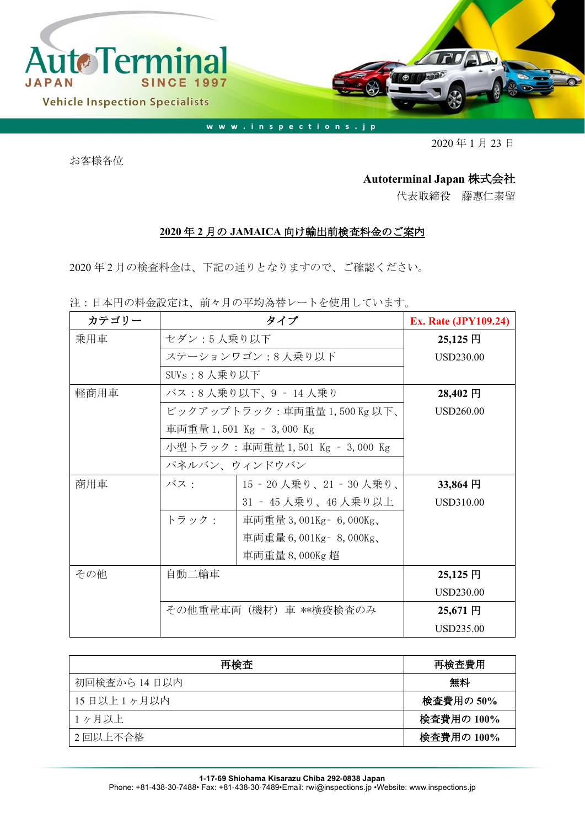

www.inspections.jp

2020 年 1 月 23 日

お客様各位

## **Autoterminal Japan** 株式会社

代表取締役 藤惠仁素留

## **2020** 年 **2** 月の **JAMAICA** 向け輸出前検査料金のご案内

2020 年 2 月の検査料金は、下記の通りとなりますので、ご確認ください。

注:日本円の料金設定は、前々月の平均為替レートを使用しています。

| カテゴリー | タイプ                             |                             | <b>Ex. Rate (JPY109.24)</b> |
|-------|---------------------------------|-----------------------------|-----------------------------|
| 乗用車   | セダン:5人乗り以下                      |                             | $25,125$ 円                  |
|       |                                 | ステーションワゴン:8 人乗り以下           | <b>USD230.00</b>            |
|       | SUVs:8 人乗り以下                    |                             |                             |
| 軽商用車  | バス:8人乗り以下、9 - 14人乗り             |                             | 28,402 円                    |
|       |                                 | ピックアップトラック:車両重量 1,500Kg 以下、 | USD260.00                   |
|       |                                 | 車両重量 1,501 Kg - 3,000 Kg    |                             |
|       | 小型トラック:車両重量 1,501 Kg – 3,000 Kg |                             |                             |
|       | パネルバン、ウィンドウバン                   |                             |                             |
| 商用車   | バス:                             | 15‐20人乗り、21‐30人乗り、          | 33,864 円                    |
|       |                                 | 31 ‐ 45 人乗り、46 人乗り以上        | USD310.00                   |
|       | トラック:                           | 車両重量 3,001Kg – 6,000Kg、     |                             |
|       |                                 | 車両重量 6,001Kg - 8,000Kg、     |                             |
|       |                                 | 車両重量 8,000Kg 超              |                             |
| その他   | 自動二輪車                           |                             | 25,125 円                    |
|       |                                 |                             | USD230.00                   |
|       | その他重量車両(機材)車 **検疫検査のみ           |                             | 25,671円                     |
|       |                                 |                             | <b>USD235.00</b>            |

| 再検査          | 再検査費用      |
|--------------|------------|
| 初回検査から 14日以内 | 無料         |
| 15日以上1ヶ月以内   | 検査費用の 50%  |
| 1ヶ月以上        | 検査費用の 100% |
| 2 回以上不合格     | 検査費用の 100% |